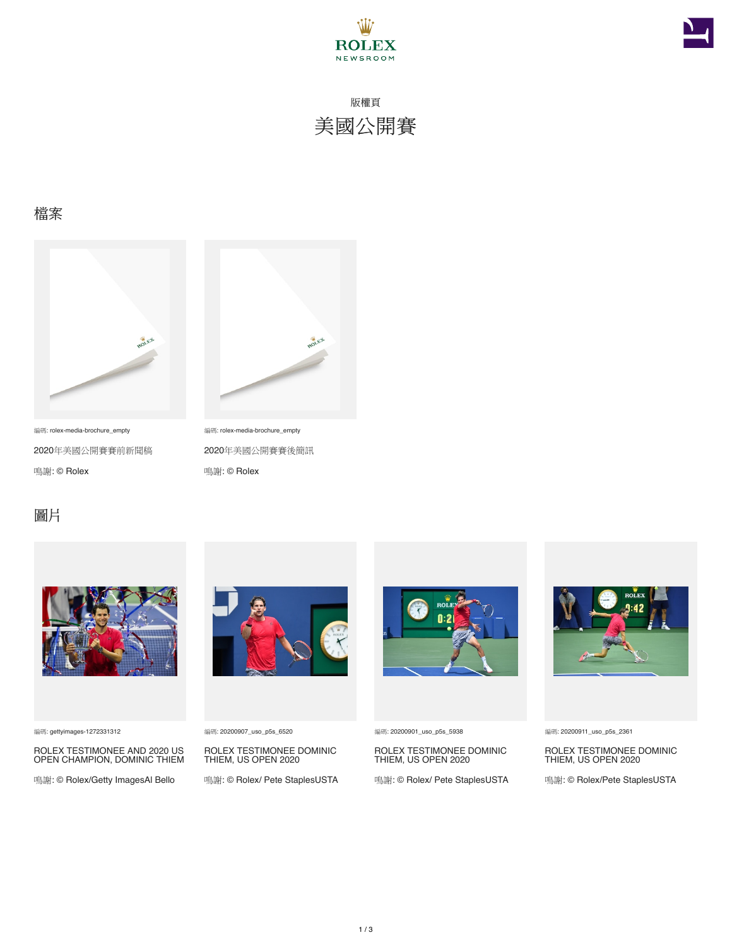



版權頁 美國公開賽

### 檔案



編碼: rolex-media-brochure\_empty

2020年美國公開賽賽前新聞稿 鳴謝: © Rolex



編碼: rolex-media-brochure\_empty

2020年美國公開賽賽後簡訊 鳴謝: © Rolex

#### 圖片



編碼: gettyimages-1272331312

ROLEX TESTIMONEE AND 2020 US OPEN CHAMPION, DOMINIC THIEM

鳴謝: © Rolex/Getty ImagesAl Bello



編碼: 20200907\_uso\_p5s\_6520

ROLEX TESTIMONEE DOMINIC THIEM, US OPEN 2020

鳴謝: © Rolex/ Pete StaplesUSTA



編碼: 20200901\_uso\_p5s\_5938

ROLEX TESTIMONEE DOMINIC THIEM, US OPEN 2020

鳴謝: © Rolex/ Pete StaplesUSTA



#### 編碼: 20200911\_uso\_p5s\_2361

ROLEX TESTIMONEE DOMINIC THIEM, US OPEN 2020

鳴謝: © Rolex/Pete StaplesUSTA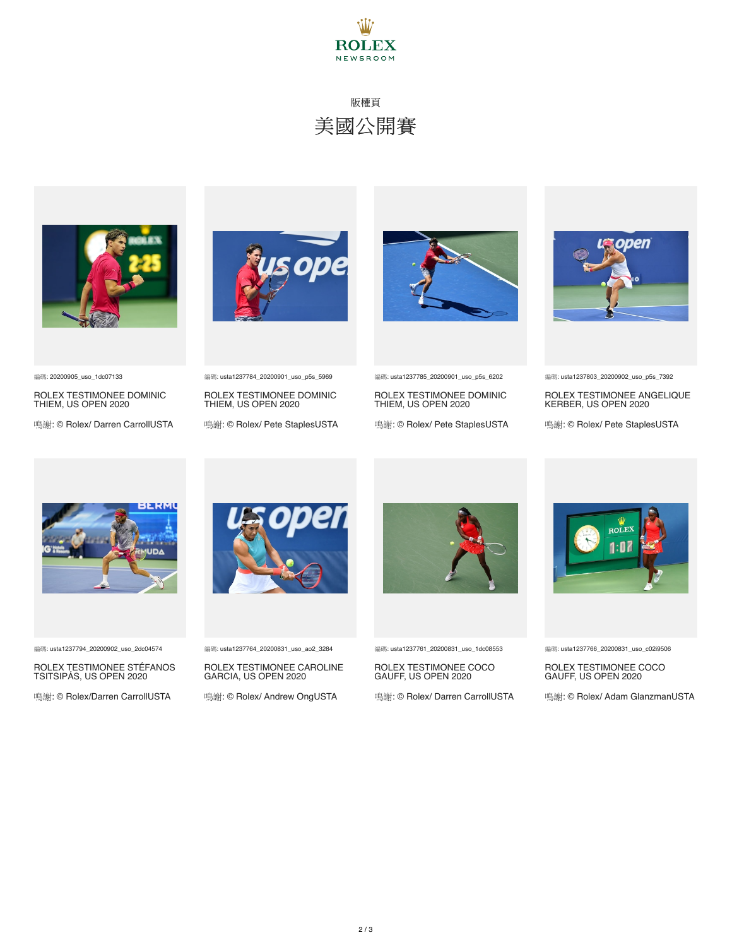

# 版權頁 美國公開賽



編碼: 20200905\_uso\_1dc07133

ROLEX TESTIMONEE DOMINIC THIEM, US OPEN 2020

鳴謝: © Rolex/ Darren CarrollUSTA





ROLEX TESTIMONEE DOMINIC THIEM, US OPEN 2020

鳴謝: © Rolex/ Pete StaplesUSTA



編碼: usta1237785\_20200901\_uso\_p5s\_6202

ROLEX TESTIMONEE DOMINIC THIEM, US OPEN 2020

鳴謝: © Rolex/ Pete StaplesUSTA



編碼: usta1237803\_20200902\_uso\_p5s\_7392

ROLEX TESTIMONEE ANGELIQUE KERBER, US OPEN 2020

鳴謝: © Rolex/ Pete StaplesUSTA



編碼: usta1237794\_20200902\_uso\_2dc04574

ROLEX TESTIMONEE STÉFANOS TSITSIPÁS, US OPEN 2020

鳴謝: © Rolex/Darren CarrollUSTA



編碼: usta1237764\_20200831\_uso\_ao2\_3284

ROLEX TESTIMONEE CAROLINE GARCIA, US OPEN 2020

鳴謝: © Rolex/ Andrew OngUSTA



編碼: usta1237761\_20200831\_uso\_1dc08553

ROLEX TESTIMONEE COCO GAUFF, US OPEN 2020

鳴謝: © Rolex/ Darren CarrollUSTA



編碼: usta1237766\_20200831\_uso\_c02i9506

ROLEX TESTIMONEE COCO GAUFF, US OPEN 2020

鳴謝: © Rolex/ Adam GlanzmanUSTA